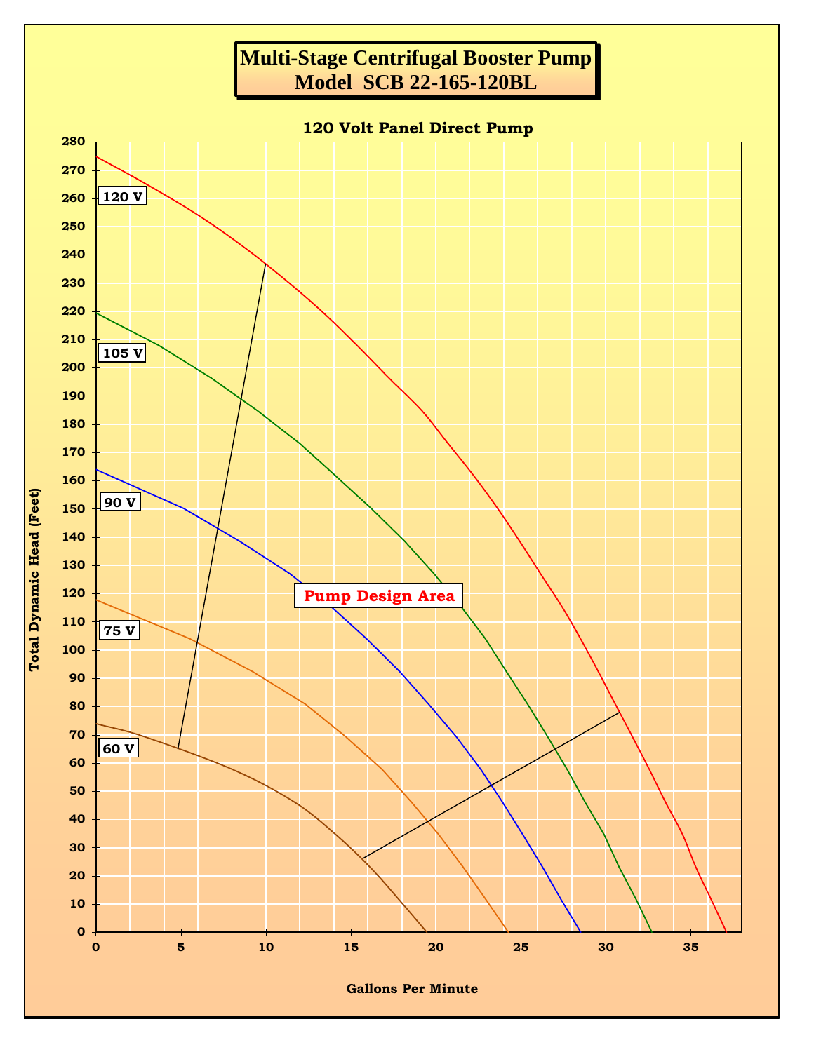